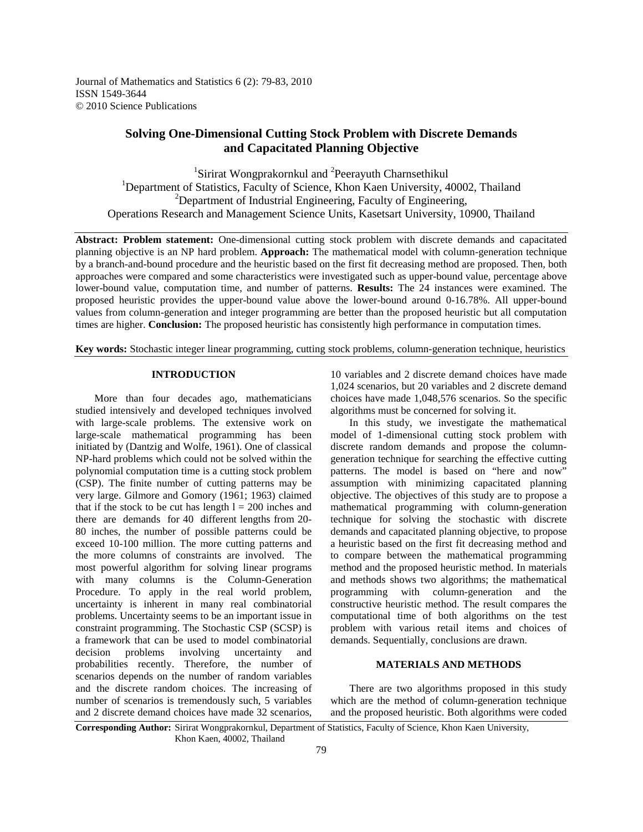Journal of Mathematics and Statistics 6 (2): 79-83, 2010 ISSN 1549-3644 © 2010 Science Publications

# **Solving One-Dimensional Cutting Stock Problem with Discrete Demands and Capacitated Planning Objective**

<sup>1</sup>Sirirat Wongprakornkul and <sup>2</sup>Peerayuth Charnsethikul <sup>1</sup>Department of Statistics, Faculty of Science, Khon Kaen University, 40002, Thailand  $2$ Department of Industrial Engineering, Faculty of Engineering, Operations Research and Management Science Units, Kasetsart University, 10900, Thailand

**Abstract: Problem statement:** One-dimensional cutting stock problem with discrete demands and capacitated planning objective is an NP hard problem. **Approach:** The mathematical model with column-generation technique by a branch-and-bound procedure and the heuristic based on the first fit decreasing method are proposed. Then, both approaches were compared and some characteristics were investigated such as upper-bound value, percentage above lower-bound value, computation time, and number of patterns. **Results:** The 24 instances were examined. The proposed heuristic provides the upper-bound value above the lower-bound around 0-16.78%. All upper-bound values from column-generation and integer programming are better than the proposed heuristic but all computation times are higher. **Conclusion:** The proposed heuristic has consistently high performance in computation times.

**Key words:** Stochastic integer linear programming, cutting stock problems, column-generation technique, heuristics

### **INTRODUCTION**

 More than four decades ago, mathematicians studied intensively and developed techniques involved with large-scale problems. The extensive work on large-scale mathematical programming has been initiated by (Dantzig and Wolfe, 1961). One of classical NP-hard problems which could not be solved within the polynomial computation time is a cutting stock problem (CSP). The finite number of cutting patterns may be very large. Gilmore and Gomory (1961; 1963) claimed that if the stock to be cut has length  $l = 200$  inches and there are demands for 40 different lengths from 20- 80 inches, the number of possible patterns could be exceed 10-100 million. The more cutting patterns and the more columns of constraints are involved. The most powerful algorithm for solving linear programs with many columns is the Column-Generation Procedure. To apply in the real world problem, uncertainty is inherent in many real combinatorial problems. Uncertainty seems to be an important issue in constraint programming. The Stochastic CSP (SCSP) is a framework that can be used to model combinatorial decision problems involving uncertainty and probabilities recently. Therefore, the number of scenarios depends on the number of random variables and the discrete random choices. The increasing of number of scenarios is tremendously such, 5 variables and 2 discrete demand choices have made 32 scenarios,

10 variables and 2 discrete demand choices have made 1,024 scenarios, but 20 variables and 2 discrete demand choices have made 1,048,576 scenarios. So the specific algorithms must be concerned for solving it.

 In this study, we investigate the mathematical model of 1-dimensional cutting stock problem with discrete random demands and propose the columngeneration technique for searching the effective cutting patterns. The model is based on "here and now" assumption with minimizing capacitated planning objective. The objectives of this study are to propose a mathematical programming with column-generation technique for solving the stochastic with discrete demands and capacitated planning objective, to propose a heuristic based on the first fit decreasing method and to compare between the mathematical programming method and the proposed heuristic method. In materials and methods shows two algorithms; the mathematical programming with column-generation and the constructive heuristic method. The result compares the computational time of both algorithms on the test problem with various retail items and choices of demands. Sequentially, conclusions are drawn.

## **MATERIALS AND METHODS**

 There are two algorithms proposed in this study which are the method of column-generation technique and the proposed heuristic. Both algorithms were coded

**Corresponding Author:** Sirirat Wongprakornkul, Department of Statistics, Faculty of Science, Khon Kaen University, Khon Kaen, 40002, Thailand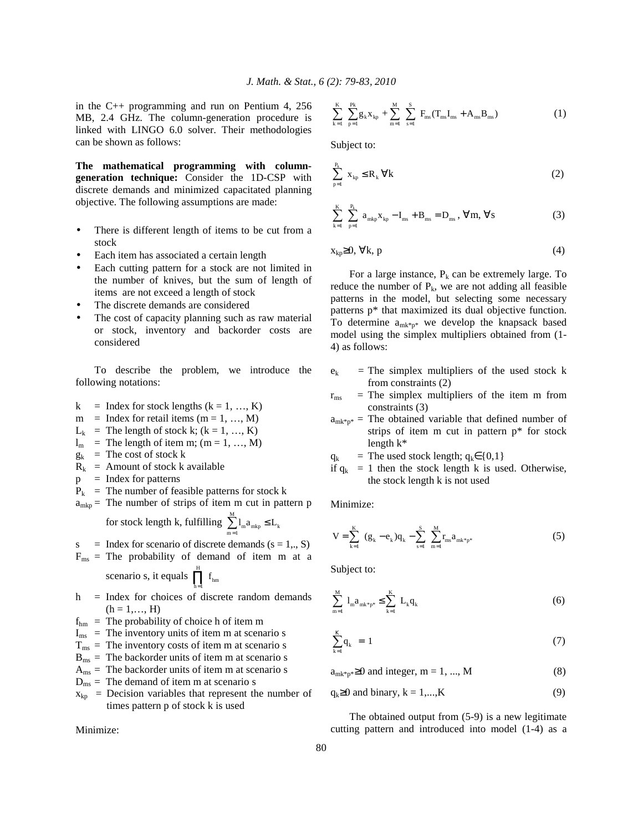in the C++ programming and run on Pentium 4, 256 MB, 2.4 GHz. The column-generation procedure is linked with LINGO 6.0 solver. Their methodologies can be shown as follows:

**The mathematical programming with columngeneration technique:** Consider the 1D-CSP with discrete demands and minimized capacitated planning objective. The following assumptions are made:

- There is different length of items to be cut from a stock
- Each item has associated a certain length
- Each cutting pattern for a stock are not limited in the number of knives, but the sum of length of items are not exceed a length of stock
- The discrete demands are considered
- The cost of capacity planning such as raw material or stock, inventory and backorder costs are considered

 To describe the problem, we introduce the following notations:

- $k$  = Index for stock lengths  $(k = 1, ..., K)$
- $m =$  Index for retail items (m = 1, ..., M)
- $L_k$  = The length of stock k; (k = 1, ..., K)
- $l_m$  = The length of item m; (m = 1, ..., M)
- $g_k$  = The cost of stock k
- $R_k$  = Amount of stock k available
- $p = \text{Index}$  for patterns
- $P_k$  = The number of feasible patterns for stock k
- $a_{mkp}$  = The number of strips of item m cut in pattern p

for stock length k, fulfilling 
$$
\sum_{m=1}^{M} l_m a_{mkp} \leq L_k
$$

s = Index for scenario of discrete demands  $(s = 1, ., S)$ 

$$
F_{ms} = \text{The probability of demand of item m at a}
$$
\nscenario s, it equals

\n
$$
\prod_{h=1}^{H} f_{hm}
$$

- $h$  = Index for choices of discrete random demands  $(h = 1, ..., H)$
- $f_{hm}$  = The probability of choice h of item m
- $I_{\text{ms}}$  = The inventory units of item m at scenario s
- $T_{\text{ms}}$  = The inventory costs of item m at scenario s
- $B_{\text{ms}} =$  The backorder units of item m at scenario s
- $A_{\text{ms}}$  = The backorder units of item m at scenario s
- $D_{\text{ms}}$  = The demand of item m at scenario s
- $x_{kp}$  = Decision variables that represent the number of times pattern p of stock k is used

Minimize:

$$
\sum_{k=1}^{K} \sum_{p=1}^{Pk} g_k x_{kp} + \sum_{m=1}^{M} \sum_{s=1}^{S} F_{ms} (T_{ms} I_{ms} + A_{ms} B_{ms}) \hspace{2cm} (1)
$$

Subject to:

$$
\sum_{p=1}^{P_k} x_{kp} \le R_k \ \forall k
$$
 (2)

$$
\sum_{k=1}^{K} \sum_{p=1}^{P_k} a_{mkp} x_{kp} - I_{ms} + B_{ms} = D_{ms}, \forall m, \forall s
$$
 (3)

$$
x_{kp} \geq 0, \,\forall k, p \tag{4}
$$

For a large instance,  $P_k$  can be extremely large. To reduce the number of  $P_k$ , we are not adding all feasible patterns in the model, but selecting some necessary patterns p\* that maximized its dual objective function. To determine  $a_{mk^*p^*}$  we develop the knapsack based model using the simplex multipliers obtained from (1- 4) as follows:

- $e_k$  = The simplex multipliers of the used stock k from constraints (2)
- $r_{\rm ms}$  = The simplex multipliers of the item m from constraints (3)
- $a_{mk^*p^*}$  = The obtained variable that defined number of strips of item m cut in pattern p\* for stock length k\*
- $q_k$  = The used stock length;  $q_k \in \{0,1\}$
- if  $q_k = 1$  then the stock length k is used. Otherwise, the stock length k is not used

Minimize:

$$
V = \sum_{k=1}^{K} (g_k - e_k) q_k - \sum_{s=1}^{S} \sum_{m=1}^{M} r_{ms} a_{mk^*p^*}
$$
 (5)

Subject to:

$$
\sum_{m=1}^{M} 1_m a_{mk^*p^*} \le \sum_{k=1}^{K} L_k q_k
$$
 (6)

$$
\sum_{k=1}^{K} q_k = 1 \tag{7}
$$

 $a_{mk*n*} \ge 0$  and integer,  $m = 1, ..., M$  (8)

 $q_k \ge 0$  and binary,  $k = 1,...,K$  (9)

 The obtained output from (5-9) is a new legitimate cutting pattern and introduced into model (1-4) as a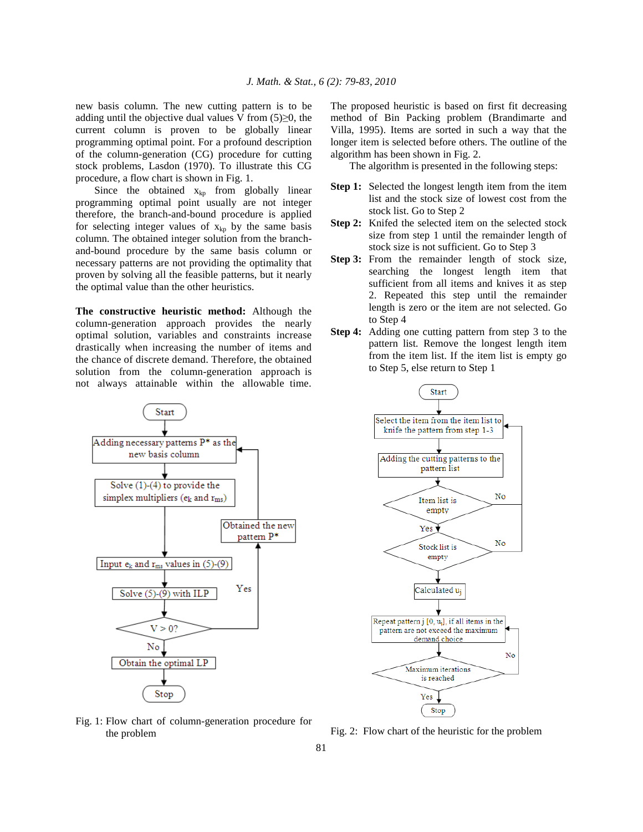new basis column. The new cutting pattern is to be adding until the objective dual values V from  $(5) \geq 0$ , the current column is proven to be globally linear programming optimal point. For a profound description of the column-generation (CG) procedure for cutting stock problems, Lasdon (1970). To illustrate this CG procedure, a flow chart is shown in Fig. 1.

Since the obtained  $x_{kp}$  from globally linear programming optimal point usually are not integer therefore, the branch-and-bound procedure is applied for selecting integer values of  $x_{kp}$  by the same basis column. The obtained integer solution from the branchand-bound procedure by the same basis column or necessary patterns are not providing the optimality that proven by solving all the feasible patterns, but it nearly the optimal value than the other heuristics.

**The constructive heuristic method:** Although the column-generation approach provides the nearly optimal solution, variables and constraints increase drastically when increasing the number of items and the chance of discrete demand. Therefore, the obtained solution from the column-generation approach is not always attainable within the allowable time.



The proposed heuristic is based on first fit decreasing method of Bin Packing problem (Brandimarte and Villa, 1995). Items are sorted in such a way that the longer item is selected before others. The outline of the algorithm has been shown in Fig. 2.

The algorithm is presented in the following steps:

- **Step 1:** Selected the longest length item from the item list and the stock size of lowest cost from the stock list. Go to Step 2
- **Step 2:** Knifed the selected item on the selected stock size from step 1 until the remainder length of stock size is not sufficient. Go to Step 3
- **Step 3:** From the remainder length of stock size, searching the longest length item that sufficient from all items and knives it as step 2. Repeated this step until the remainder length is zero or the item are not selected. Go to Step 4
- **Step 4:** Adding one cutting pattern from step 3 to the pattern list. Remove the longest length item from the item list. If the item list is empty go to Step 5, else return to Step 1



Fig. 1: Flow chart of column-generation procedure for the problem

Fig. 2: Flow chart of the heuristic for the problem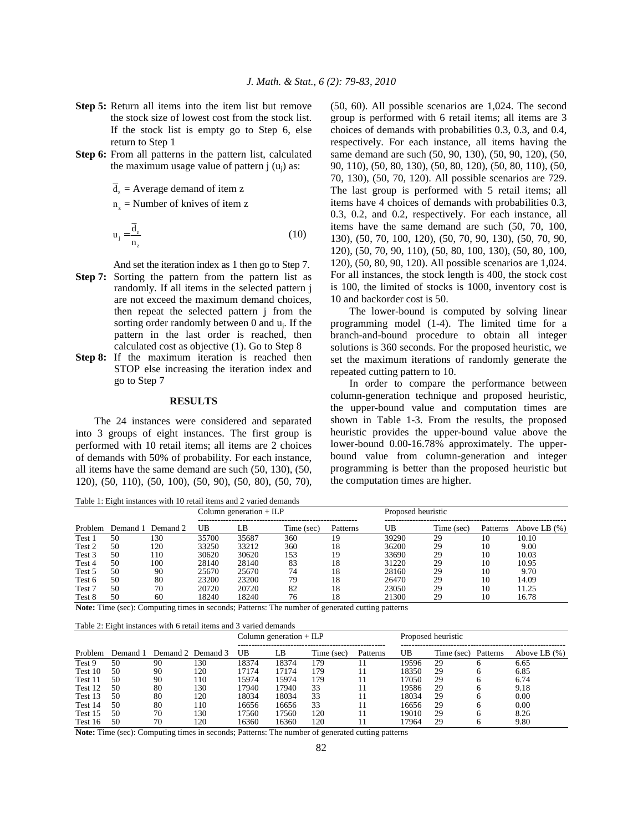- **Step 5:** Return all items into the item list but remove the stock size of lowest cost from the stock list. If the stock list is empty go to Step 6, else return to Step 1
- **Step 6:** From all patterns in the pattern list, calculated the maximum usage value of pattern  $i(u_i)$  as:
	- $\overline{d}_z$  = Average demand of item z

 $n_z$  = Number of knives of item z

$$
u_j = \frac{\overline{d}_z}{n_z} \tag{10}
$$

And set the iteration index as 1 then go to Step 7.

- **Step 7:** Sorting the pattern from the pattern list as randomly. If all items in the selected pattern j are not exceed the maximum demand choices, then repeat the selected pattern j from the sorting order randomly between  $0$  and  $u_j$ . If the pattern in the last order is reached, then calculated cost as objective (1). Go to Step 8
- **Step 8:** If the maximum iteration is reached then STOP else increasing the iteration index and go to Step 7

#### **RESULTS**

 The 24 instances were considered and separated into 3 groups of eight instances. The first group is performed with 10 retail items; all items are 2 choices of demands with 50% of probability. For each instance, all items have the same demand are such (50, 130), (50, 120), (50, 110), (50, 100), (50, 90), (50, 80), (50, 70),

Table 1: Eight instances with 10 retail items and 2 varied demands

(50, 60). All possible scenarios are 1,024. The second group is performed with 6 retail items; all items are 3 choices of demands with probabilities 0.3, 0.3, and 0.4, respectively. For each instance, all items having the same demand are such (50, 90, 130), (50, 90, 120), (50, 90, 110), (50, 80, 130), (50, 80, 120), (50, 80, 110), (50, 70, 130), (50, 70, 120). All possible scenarios are 729. The last group is performed with 5 retail items; all items have 4 choices of demands with probabilities 0.3, 0.3, 0.2, and 0.2, respectively. For each instance, all items have the same demand are such (50, 70, 100, 130), (50, 70, 100, 120), (50, 70, 90, 130), (50, 70, 90, 120), (50, 70, 90, 110), (50, 80, 100, 130), (50, 80, 100, 120), (50, 80, 90, 120). All possible scenarios are 1,024. For all instances, the stock length is 400, the stock cost is 100, the limited of stocks is 1000, inventory cost is 10 and backorder cost is 50.

 The lower-bound is computed by solving linear programming model (1-4). The limited time for a branch-and-bound procedure to obtain all integer solutions is 360 seconds. For the proposed heuristic, we set the maximum iterations of randomly generate the repeated cutting pattern to 10.

 In order to compare the performance between column-generation technique and proposed heuristic, the upper-bound value and computation times are shown in Table 1-3. From the results, the proposed heuristic provides the upper-bound value above the lower-bound 0.00-16.78% approximately. The upperbound value from column-generation and integer programming is better than the proposed heuristic but the computation times are higher.

|        |    |                           |       | Column generation $+ ILP$ |            |          | Proposed heuristic |            |          |                 |  |
|--------|----|---------------------------|-------|---------------------------|------------|----------|--------------------|------------|----------|-----------------|--|
|        |    | Problem Demand 1 Demand 2 | UB    | LB                        | Time (sec) | Patterns | UB                 | Time (sec) | Patterns | Above LB $(\%)$ |  |
| Test 1 | 50 | 130                       | 35700 | 35687                     | 360        | 19       | 39290              | 29         | 10       | 10.10           |  |
| Test 2 | 50 | 120                       | 33250 | 33212                     | 360        | 18       | 36200              | 29         | 10       | 9.00            |  |
| Test 3 | 50 | 110                       | 30620 | 30620                     | 153        | 19       | 33690              | 29         | 10       | 10.03           |  |
| Test 4 | 50 | 100                       | 28140 | 28140                     | 83         | 18       | 31220              | 29         | 10       | 10.95           |  |
| Test 5 | 50 | 90                        | 25670 | 25670                     | 74         | 18       | 28160              | 29         | 10       | 9.70            |  |
| Test 6 | 50 | 80                        | 23200 | 23200                     | 79         | 18       | 26470              | 29         | 10       | 14.09           |  |
| Test 7 | 50 | 70                        | 20720 | 20720                     | 82         | 18       | 23050              | 29         | 10       | 11.25           |  |
| Test 8 | 50 | 60                        | 18240 | 18240                     | 76         | 18       | 21300              | 29         | 10       | 16.78           |  |

**Note:** Time (sec): Computing times in seconds; Patterns: The number of generated cutting patterns

| Table 2: Eight instances with 6 retail items and 3 varied demands |          |                   |              |       |                           |            |          |                    |            |          |                  |
|-------------------------------------------------------------------|----------|-------------------|--------------|-------|---------------------------|------------|----------|--------------------|------------|----------|------------------|
|                                                                   |          |                   |              |       | Column generation $+ ILP$ |            |          | Proposed heuristic |            |          |                  |
| <b>Problem</b>                                                    | Demand 1 | Demand 2 Demand 3 |              | UB    | LB                        | Time (sec) | Patterns | UB                 | Time (sec) | Patterns | Above LB $(\% )$ |
| Test 9                                                            | 50       | 90                | $30^{\circ}$ | 18374 | 18374                     | 179        |          | 19596              | 29         |          | 6.65             |
| Test 10                                                           | 50       | 90                | 120          | 17174 | 17174                     | 179        |          | 18350              | 29         | h        | 6.85             |
| Test 11                                                           | 50       | 90                | 110          | 15974 | 15974                     | 179        |          | 17050              | 29         | h        | 6.74             |
| Test 12                                                           | 50       | 80                | !30          | 17940 | 17940                     | 33         |          | 19586              | 29         | h        | 9.18             |
| Test 13                                                           | 50       | 80                | 120          | 18034 | 18034                     | 33         |          | 18034              | 29         |          | 0.00             |
| Test 14                                                           | 50       | 80                | 110          | 16656 | 16656                     | 33         |          | 16656              | 29         |          | 0.00             |
| Test 15                                                           | 50       | 70                | -30          | 17560 | 17560                     | 120        |          | 19010              | 29         |          | 8.26             |
| Test 16                                                           | 50       | 70                | 120          | 16360 | 16360                     | 120        |          | 17964              | 29         |          | 9.80             |

**Note:** Time (sec): Computing times in seconds; Patterns: The number of generated cutting patterns